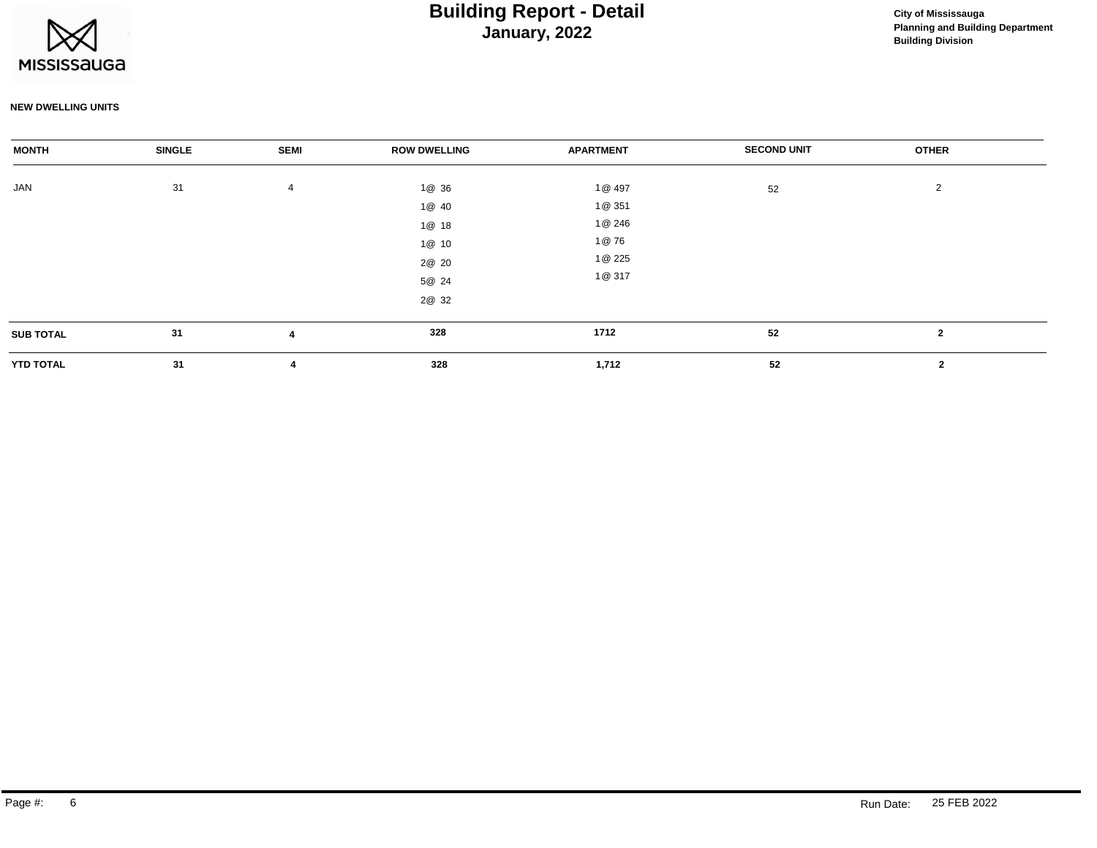

## **January, 2022 Building Report - Detail Construction Construction City of Mississauga**

#### **NEW DWELLING UNITS**

| <b>MONTH</b>     | <b>SINGLE</b> | <b>SEMI</b>             | <b>ROW DWELLING</b>                                         | <b>APARTMENT</b>                                       | <b>SECOND UNIT</b> | <b>OTHER</b>   |  |
|------------------|---------------|-------------------------|-------------------------------------------------------------|--------------------------------------------------------|--------------------|----------------|--|
| JAN              | 31            | $\overline{4}$          | 1@ 36<br>1@ 40<br>1@ 18<br>1@ 10<br>2@ 20<br>5@ 24<br>2@ 32 | 1@ 497<br>1@ 351<br>1@ 246<br>1@76<br>1@ 225<br>1@ 317 | 52                 | 2              |  |
| <b>SUB TOTAL</b> | 31            | $\overline{\mathbf{A}}$ | 328                                                         | 1712                                                   | 52                 | $\overline{2}$ |  |
| <b>YTD TOTAL</b> | 31            | 4                       | 328                                                         | 1,712                                                  | 52                 | $\mathbf{2}$   |  |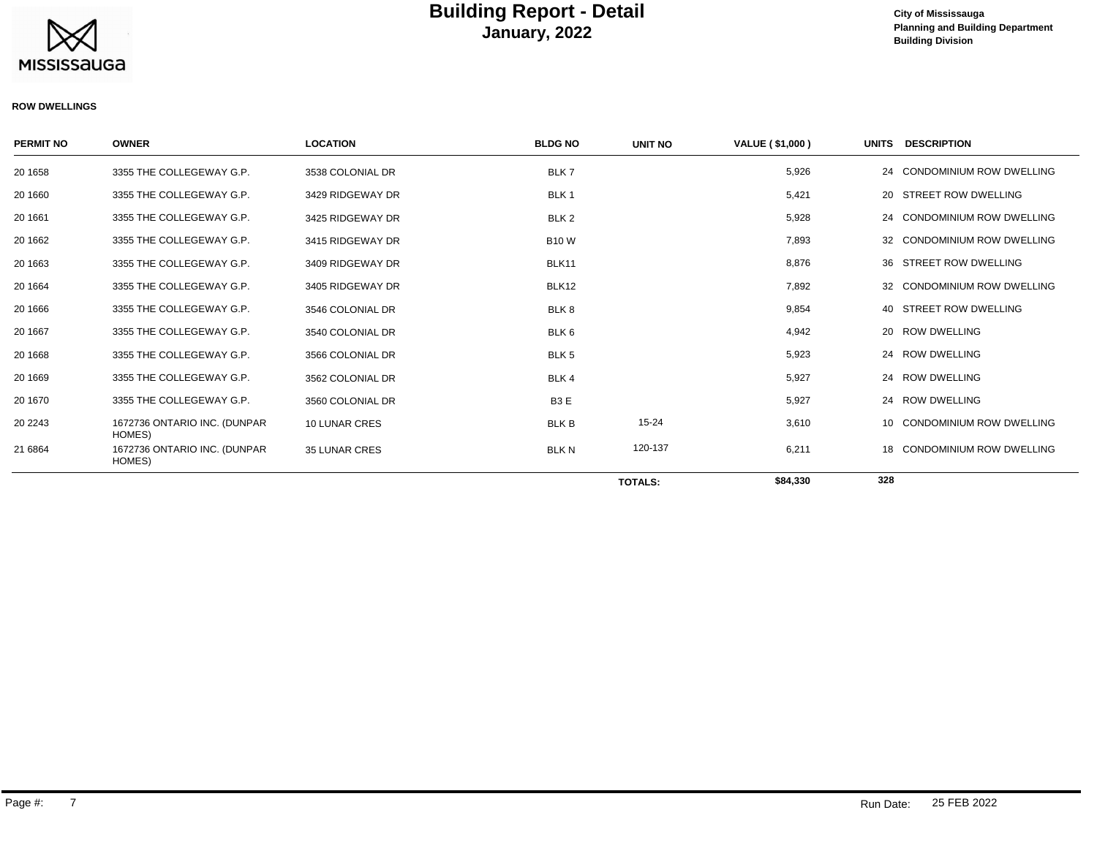

### **January, 2022 Building Report - Detail Construction Construction City of Mississauga**

### **Planning and Building Department Building Division**

#### **ROW DWELLINGS**

| <b>PERMIT NO</b> | <b>OWNER</b>                           | <b>LOCATION</b>      | <b>BLDG NO</b>   | <b>UNIT NO</b> | VALUE (\$1,000) | <b>UNITS</b> | <b>DESCRIPTION</b>              |
|------------------|----------------------------------------|----------------------|------------------|----------------|-----------------|--------------|---------------------------------|
| 20 1658          | 3355 THE COLLEGEWAY G.P.               | 3538 COLONIAL DR     | BLK7             |                | 5,926           | 24           | <b>CONDOMINIUM ROW DWELLING</b> |
| 20 1660          | 3355 THE COLLEGEWAY G.P.               | 3429 RIDGEWAY DR     | BLK <sub>1</sub> |                | 5,421           | 20           | STREET ROW DWELLING             |
| 20 16 61         | 3355 THE COLLEGEWAY G.P.               | 3425 RIDGEWAY DR     | BLK <sub>2</sub> |                | 5,928           | 24           | <b>CONDOMINIUM ROW DWELLING</b> |
| 20 16 62         | 3355 THE COLLEGEWAY G.P.               | 3415 RIDGEWAY DR     | <b>B10W</b>      |                | 7,893           | 32           | CONDOMINIUM ROW DWELLING        |
| 20 16 63         | 3355 THE COLLEGEWAY G.P.               | 3409 RIDGEWAY DR     | BLK11            |                | 8,876           | 36           | STREET ROW DWELLING             |
| 20 16 64         | 3355 THE COLLEGEWAY G.P.               | 3405 RIDGEWAY DR     | BLK12            |                | 7,892           | 32           | <b>CONDOMINIUM ROW DWELLING</b> |
| 20 1666          | 3355 THE COLLEGEWAY G.P.               | 3546 COLONIAL DR     | BLK8             |                | 9,854           | 40           | STREET ROW DWELLING             |
| 20 16 67         | 3355 THE COLLEGEWAY G.P.               | 3540 COLONIAL DR     | BLK <sub>6</sub> |                | 4,942           |              | 20 ROW DWELLING                 |
| 20 16 68         | 3355 THE COLLEGEWAY G.P.               | 3566 COLONIAL DR     | BLK <sub>5</sub> |                | 5,923           | 24           | <b>ROW DWELLING</b>             |
| 20 16 69         | 3355 THE COLLEGEWAY G.P.               | 3562 COLONIAL DR     | BLK 4            |                | 5,927           | 24           | <b>ROW DWELLING</b>             |
| 20 1670          | 3355 THE COLLEGEWAY G.P.               | 3560 COLONIAL DR     | B <sub>3</sub> E |                | 5,927           |              | 24 ROW DWELLING                 |
| 20 2243          | 1672736 ONTARIO INC. (DUNPAR<br>HOMES) | 10 LUNAR CRES        | <b>BLK B</b>     | 15-24          | 3,610           | 10           | <b>CONDOMINIUM ROW DWELLING</b> |
| 21 6864          | 1672736 ONTARIO INC. (DUNPAR<br>HOMES) | <b>35 LUNAR CRES</b> | <b>BLK N</b>     | 120-137        | 6,211           | 18           | <b>CONDOMINIUM ROW DWELLING</b> |
|                  |                                        |                      |                  | <b>TOTALS:</b> | \$84,330        | 328          |                                 |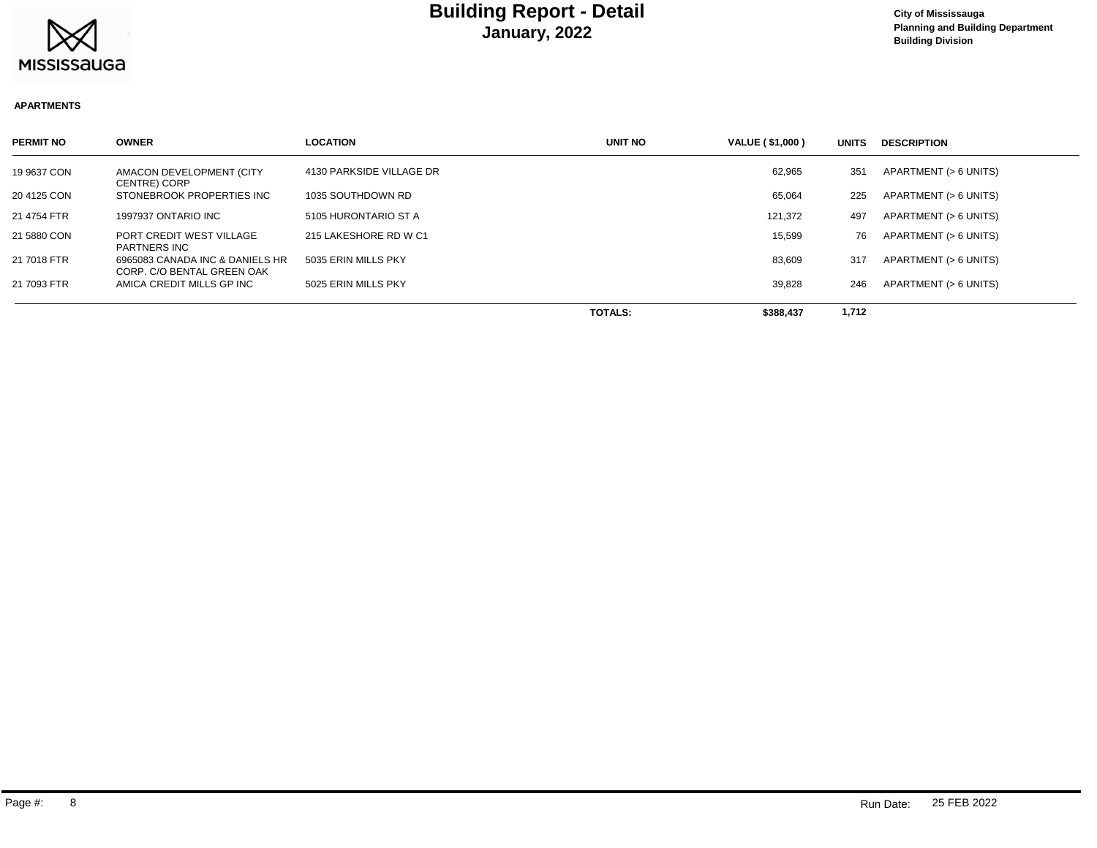

#### **APARTMENTS**

| <b>PERMIT NO</b> | <b>OWNER</b>                                                  | <b>LOCATION</b>          | UNIT NO        | VALUE (\$1,000) | <b>UNITS</b> | <b>DESCRIPTION</b>    |
|------------------|---------------------------------------------------------------|--------------------------|----------------|-----------------|--------------|-----------------------|
| 19 9637 CON      | AMACON DEVELOPMENT (CITY<br><b>CENTRE) CORP</b>               | 4130 PARKSIDE VILLAGE DR |                | 62,965          | 351          | APARTMENT (> 6 UNITS) |
| 20 4125 CON      | STONEBROOK PROPERTIES INC                                     | 1035 SOUTHDOWN RD        |                | 65,064          | 225          | APARTMENT (> 6 UNITS) |
| 21 4754 FTR      | 1997937 ONTARIO INC                                           | 5105 HURONTARIO ST A     |                | 121,372         | 497          | APARTMENT (> 6 UNITS) |
| 21 5880 CON      | PORT CREDIT WEST VILLAGE<br><b>PARTNERS INC</b>               | 215 LAKESHORE RD W C1    |                | 15.599          | 76           | APARTMENT (> 6 UNITS) |
| 21 7018 FTR      | 6965083 CANADA INC & DANIELS HR<br>CORP. C/O BENTAL GREEN OAK | 5035 ERIN MILLS PKY      |                | 83,609          | 317          | APARTMENT (> 6 UNITS) |
| 21 7093 FTR      | AMICA CREDIT MILLS GP INC                                     | 5025 ERIN MILLS PKY      |                | 39,828          | 246          | APARTMENT (> 6 UNITS) |
|                  |                                                               |                          | <b>TOTALS:</b> | \$388,437       | 1,712        |                       |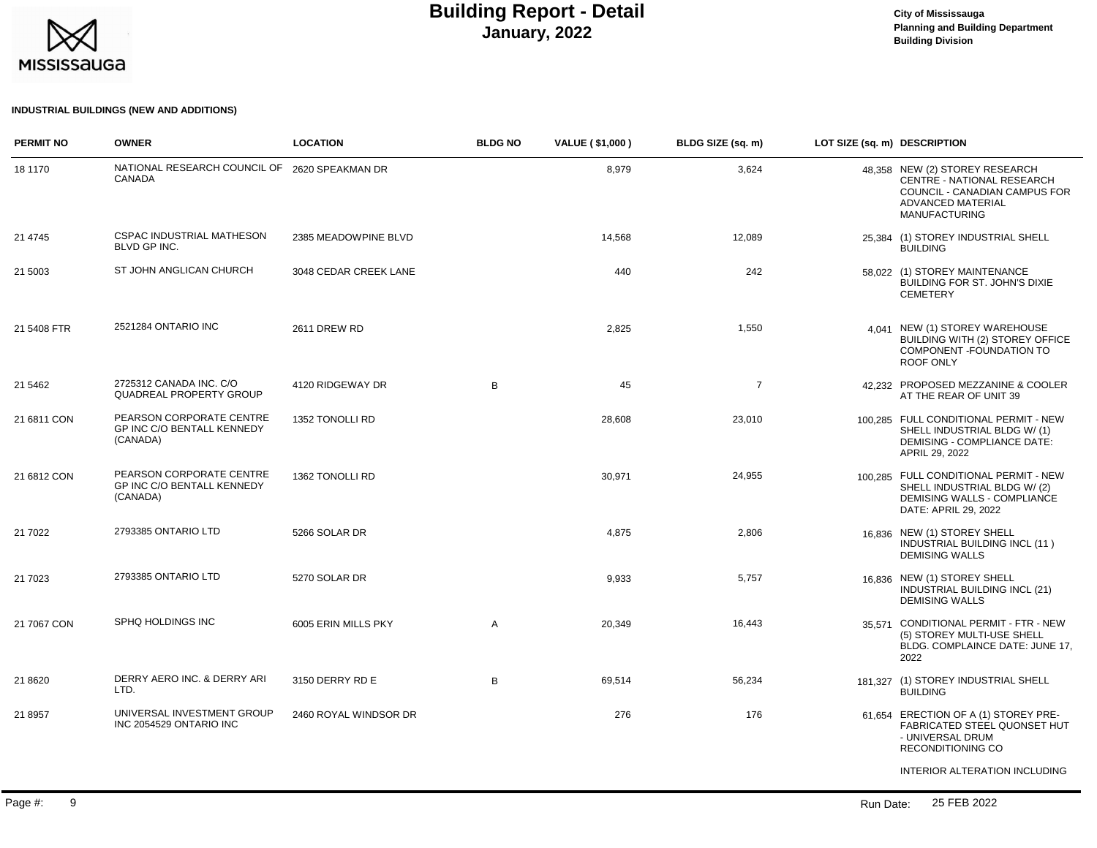

### **Planning and Building Department Building Division**

### **INDUSTRIAL BUILDINGS (NEW AND ADDITIONS)**

| <b>PERMIT NO</b> | <b>OWNER</b>                                                       | <b>LOCATION</b>       | <b>BLDG NO</b> | <b>VALUE (\$1,000)</b> | BLDG SIZE (sq. m) | LOT SIZE (sq. m) DESCRIPTION |                                                                                                                                                   |
|------------------|--------------------------------------------------------------------|-----------------------|----------------|------------------------|-------------------|------------------------------|---------------------------------------------------------------------------------------------------------------------------------------------------|
| 18 1170          | NATIONAL RESEARCH COUNCIL OF 2620 SPEAKMAN DR<br>CANADA            |                       |                | 8,979                  | 3,624             |                              | 48.358 NEW (2) STOREY RESEARCH<br>CENTRE - NATIONAL RESEARCH<br>COUNCIL - CANADIAN CAMPUS FOR<br><b>ADVANCED MATERIAL</b><br><b>MANUFACTURING</b> |
| 21 4745          | CSPAC INDUSTRIAL MATHESON<br>BLVD GP INC.                          | 2385 MEADOWPINE BLVD  |                | 14,568                 | 12,089            |                              | 25,384 (1) STOREY INDUSTRIAL SHELL<br><b>BUILDING</b>                                                                                             |
| 21 5003          | ST JOHN ANGLICAN CHURCH                                            | 3048 CEDAR CREEK LANE |                | 440                    | 242               |                              | 58,022 (1) STOREY MAINTENANCE<br>BUILDING FOR ST. JOHN'S DIXIE<br><b>CEMETERY</b>                                                                 |
| 21 5408 FTR      | 2521284 ONTARIO INC                                                | <b>2611 DREW RD</b>   |                | 2,825                  | 1,550             |                              | 4,041 NEW (1) STOREY WAREHOUSE<br>BUILDING WITH (2) STOREY OFFICE<br>COMPONENT - FOUNDATION TO<br>ROOF ONLY                                       |
| 21 54 62         | 2725312 CANADA INC. C/O<br>QUADREAL PROPERTY GROUP                 | 4120 RIDGEWAY DR      | B              | 45                     | $\overline{7}$    |                              | 42.232 PROPOSED MEZZANINE & COOLER<br>AT THE REAR OF UNIT 39                                                                                      |
| 21 6811 CON      | PEARSON CORPORATE CENTRE<br>GP INC C/O BENTALL KENNEDY<br>(CANADA) | 1352 TONOLLI RD       |                | 28,608                 | 23,010            |                              | 100,285 FULL CONDITIONAL PERMIT - NEW<br>SHELL INDUSTRIAL BLDG W/(1)<br><b>DEMISING - COMPLIANCE DATE:</b><br>APRIL 29, 2022                      |
| 21 6812 CON      | PEARSON CORPORATE CENTRE<br>GP INC C/O BENTALL KENNEDY<br>(CANADA) | 1362 TONOLLI RD       |                | 30,971                 | 24,955            |                              | 100,285 FULL CONDITIONAL PERMIT - NEW<br>SHELL INDUSTRIAL BLDG W/(2)<br>DEMISING WALLS - COMPLIANCE<br>DATE: APRIL 29, 2022                       |
| 21 7022          | 2793385 ONTARIO LTD                                                | 5266 SOLAR DR         |                | 4,875                  | 2,806             |                              | 16.836 NEW (1) STOREY SHELL<br>INDUSTRIAL BUILDING INCL (11)<br><b>DEMISING WALLS</b>                                                             |
| 21 7023          | 2793385 ONTARIO LTD                                                | 5270 SOLAR DR         |                | 9,933                  | 5,757             |                              | 16.836 NEW (1) STOREY SHELL<br>INDUSTRIAL BUILDING INCL (21)<br><b>DEMISING WALLS</b>                                                             |
| 21 7067 CON      | SPHQ HOLDINGS INC                                                  | 6005 ERIN MILLS PKY   | Α              | 20,349                 | 16,443            |                              | 35.571 CONDITIONAL PERMIT - FTR - NEW<br>(5) STOREY MULTI-USE SHELL<br>BLDG. COMPLAINCE DATE: JUNE 17,<br>2022                                    |
| 21 8620          | DERRY AERO INC. & DERRY ARI<br>LTD.                                | 3150 DERRY RD E       | B              | 69,514                 | 56,234            |                              | 181,327 (1) STOREY INDUSTRIAL SHELL<br><b>BUILDING</b>                                                                                            |
| 21 8957          | UNIVERSAL INVESTMENT GROUP<br>INC 2054529 ONTARIO INC              | 2460 ROYAL WINDSOR DR |                | 276                    | 176               |                              | 61.654 ERECTION OF A (1) STOREY PRE-<br>FABRICATED STEEL QUONSET HUT<br>- UNIVERSAL DRUM<br>RECONDITIONING CO                                     |
|                  |                                                                    |                       |                |                        |                   |                              | INTERIOR ALTERATION INCLUDING                                                                                                                     |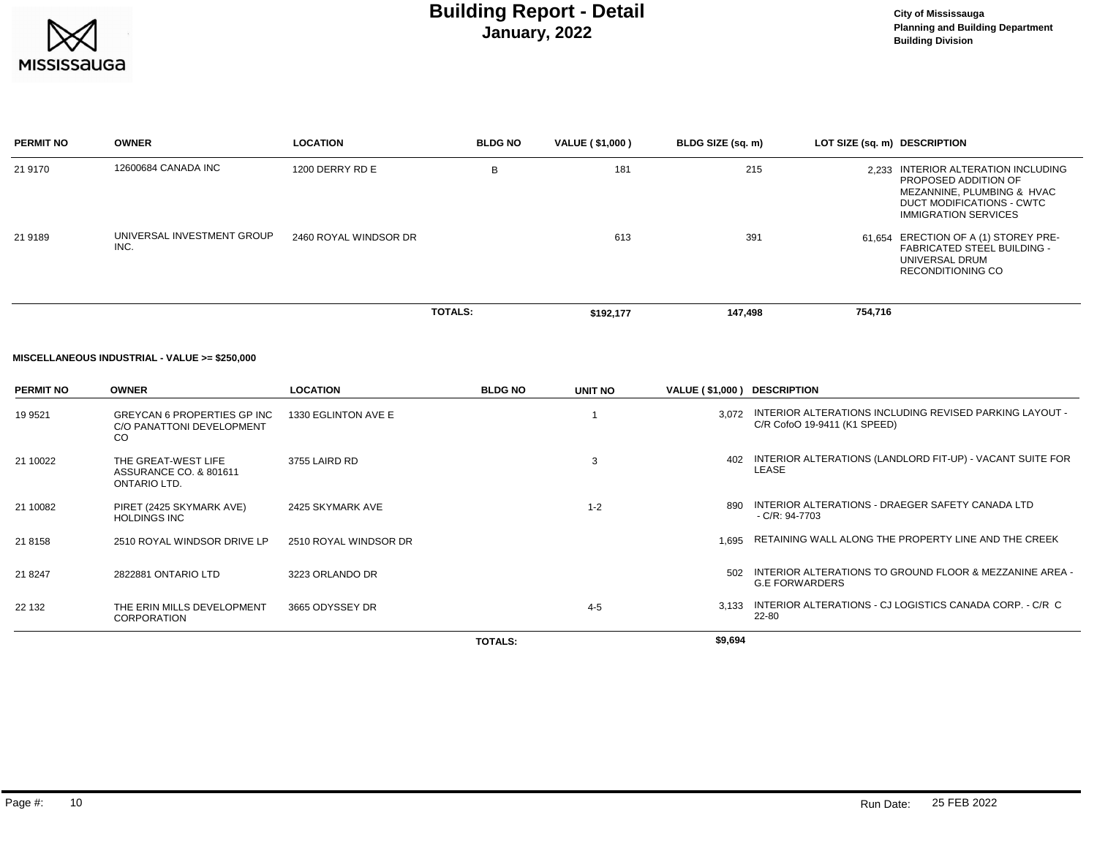

## **January, 2022 Building Report - Detail Construction Construction City of Mississauga**

| <b>PERMIT NO</b> | <b>OWNER</b>                       | <b>LOCATION</b>       | <b>BLDG NO</b> | VALUE (\$1,000) | BLDG SIZE (sq. m) | LOT SIZE (sq. m) DESCRIPTION                                                                                                                             |
|------------------|------------------------------------|-----------------------|----------------|-----------------|-------------------|----------------------------------------------------------------------------------------------------------------------------------------------------------|
| 21 9170          | 12600684 CANADA INC                | 1200 DERRY RD E       | B              | 181             | 215               | INTERIOR ALTERATION INCLUDING<br>2.233<br>PROPOSED ADDITION OF<br>MEZANNINE, PLUMBING & HVAC<br>DUCT MODIFICATIONS - CWTC<br><b>IMMIGRATION SERVICES</b> |
| 21 9189          | UNIVERSAL INVESTMENT GROUP<br>INC. | 2460 ROYAL WINDSOR DR |                | 613             | 391               | 61.654 ERECTION OF A (1) STOREY PRE-<br><b>FABRICATED STEEL BUILDING -</b><br>UNIVERSAL DRUM<br><b>RECONDITIONING CO</b>                                 |
|                  |                                    |                       | <b>TOTALS:</b> | \$192,177       | 147,498           | 754,716                                                                                                                                                  |

#### **MISCELLANEOUS INDUSTRIAL - VALUE >= \$250,000**

| <b>PERMIT NO</b> | <b>OWNER</b>                                                                     | <b>LOCATION</b>       | <b>BLDG NO</b> | UNIT NO | VALUE (\$1,000) DESCRIPTION |                                                                                         |
|------------------|----------------------------------------------------------------------------------|-----------------------|----------------|---------|-----------------------------|-----------------------------------------------------------------------------------------|
| 19 9521          | <b>GREYCAN 6 PROPERTIES GP INC</b><br>C/O PANATTONI DEVELOPMENT<br><sub>CO</sub> | 1330 EGLINTON AVE E   |                |         | 3.072                       | INTERIOR ALTERATIONS INCLUDING REVISED PARKING LAYOUT -<br>C/R CofoO 19-9411 (K1 SPEED) |
| 21 10022         | THE GREAT-WEST LIFE<br>ASSURANCE CO. & 801611<br>ONTARIO LTD.                    | 3755 LAIRD RD         |                | 3       | 402                         | INTERIOR ALTERATIONS (LANDLORD FIT-UP) - VACANT SUITE FOR<br>LEASE                      |
| 21 10082         | PIRET (2425 SKYMARK AVE)<br><b>HOLDINGS INC</b>                                  | 2425 SKYMARK AVE      |                | $1 - 2$ | 890                         | INTERIOR ALTERATIONS - DRAEGER SAFETY CANADA LTD<br>$-C/R: 94-7703$                     |
| 21 8158          | 2510 ROYAL WINDSOR DRIVE LP                                                      | 2510 ROYAL WINDSOR DR |                |         | 1.695                       | RETAINING WALL ALONG THE PROPERTY LINE AND THE CREEK                                    |
| 21 8 247         | 2822881 ONTARIO LTD                                                              | 3223 ORLANDO DR       |                |         | 502                         | INTERIOR ALTERATIONS TO GROUND FLOOR & MEZZANINE AREA -<br><b>G.E FORWARDERS</b>        |
| 22 132           | THE ERIN MILLS DEVELOPMENT<br><b>CORPORATION</b>                                 | 3665 ODYSSEY DR       |                | $4 - 5$ | 3.133                       | INTERIOR ALTERATIONS - CJ LOGISTICS CANADA CORP. - C/R C<br>22-80                       |
|                  |                                                                                  |                       | <b>TOTALS:</b> |         | \$9,694                     |                                                                                         |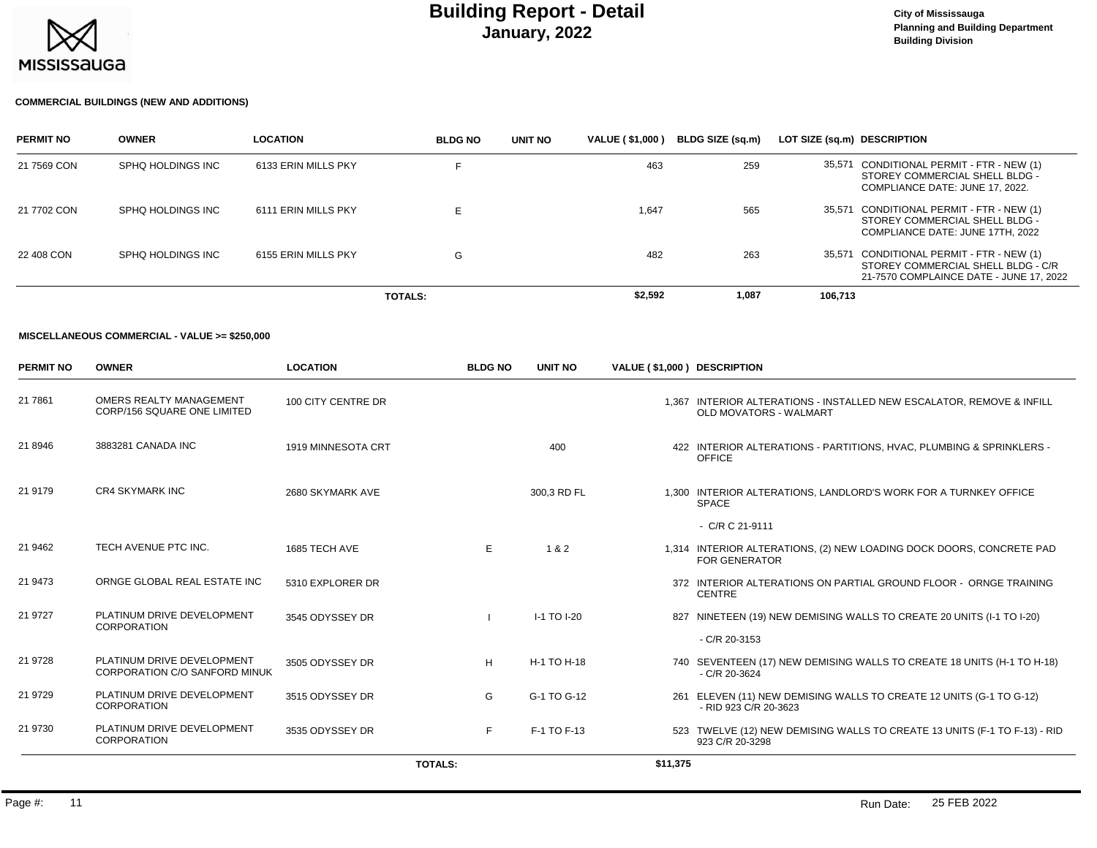

#### **COMMERCIAL BUILDINGS (NEW AND ADDITIONS)**

| <b>PERMIT NO</b> | <b>OWNER</b>      | <b>LOCATION</b>     | <b>BLDG NO</b> | UNIT NO | <b>VALUE (\$1,000)</b> | BLDG SIZE (sa.m) | LOT SIZE (sq.m) DESCRIPTION |                                                                                                                            |
|------------------|-------------------|---------------------|----------------|---------|------------------------|------------------|-----------------------------|----------------------------------------------------------------------------------------------------------------------------|
| 21 7569 CON      | SPHQ HOLDINGS INC | 6133 ERIN MILLS PKY |                |         | 463                    | 259              |                             | 35,571 CONDITIONAL PERMIT - FTR - NEW (1)<br>STOREY COMMERCIAL SHELL BLDG -<br>COMPLIANCE DATE: JUNE 17, 2022.             |
| 21 7702 CON      | SPHO HOLDINGS INC | 6111 ERIN MILLS PKY |                |         | 1.647                  | 565              |                             | 35,571 CONDITIONAL PERMIT - FTR - NEW (1)<br>STOREY COMMERCIAL SHELL BLDG -<br>COMPLIANCE DATE: JUNE 17TH, 2022            |
| 22 408 CON       | SPHQ HOLDINGS INC | 6155 ERIN MILLS PKY | G              |         | 482                    | 263              |                             | 35,571 CONDITIONAL PERMIT - FTR - NEW (1)<br>STOREY COMMERCIAL SHELL BLDG - C/R<br>21-7570 COMPLAINCE DATE - JUNE 17, 2022 |
|                  |                   |                     | <b>TOTALS:</b> |         | \$2,592                | 1,087            | 106.713                     |                                                                                                                            |

#### **MISCELLANEOUS COMMERCIAL - VALUE >= \$250,000**

| <b>PERMIT NO</b> | <b>OWNER</b>                                                  | <b>LOCATION</b>    | <b>BLDG NO</b> | <b>UNIT NO</b>  | VALUE (\$1,000) DESCRIPTION |                                                                                                        |
|------------------|---------------------------------------------------------------|--------------------|----------------|-----------------|-----------------------------|--------------------------------------------------------------------------------------------------------|
| 21 7861          | OMERS REALTY MANAGEMENT<br><b>CORP/156 SQUARE ONE LIMITED</b> | 100 CITY CENTRE DR |                |                 |                             | 1,367 INTERIOR ALTERATIONS - INSTALLED NEW ESCALATOR, REMOVE & INFILL<br><b>OLD MOVATORS - WALMART</b> |
| 21 8946          | 3883281 CANADA INC                                            | 1919 MINNESOTA CRT |                | 400             |                             | 422 INTERIOR ALTERATIONS - PARTITIONS, HVAC, PLUMBING & SPRINKLERS -<br><b>OFFICE</b>                  |
| 21 9179          | <b>CR4 SKYMARK INC</b>                                        | 2680 SKYMARK AVE   |                | 300,3 RD FL     |                             | 1,300 INTERIOR ALTERATIONS, LANDLORD'S WORK FOR A TURNKEY OFFICE<br><b>SPACE</b>                       |
|                  |                                                               |                    |                |                 |                             | $-C/R C 21-9111$                                                                                       |
| 21 9462          | TECH AVENUE PTC INC.                                          | 1685 TECH AVE      | E              | 1&2             |                             | 1,314 INTERIOR ALTERATIONS, (2) NEW LOADING DOCK DOORS, CONCRETE PAD<br><b>FOR GENERATOR</b>           |
| 21 9473          | ORNGE GLOBAL REAL ESTATE INC                                  | 5310 EXPLORER DR   |                |                 |                             | 372 INTERIOR ALTERATIONS ON PARTIAL GROUND FLOOR - ORNGE TRAINING<br><b>CENTRE</b>                     |
| 21 9727          | PLATINUM DRIVE DEVELOPMENT<br>CORPORATION                     | 3545 ODYSSEY DR    |                | $I-1$ TO $I-20$ |                             | 827 NINETEEN (19) NEW DEMISING WALLS TO CREATE 20 UNITS (I-1 TO I-20)                                  |
|                  |                                                               |                    |                |                 |                             | - C/R 20-3153                                                                                          |
| 21 9728          | PLATINUM DRIVE DEVELOPMENT<br>CORPORATION C/O SANFORD MINUK   | 3505 ODYSSEY DR    | H              | H-1 TO H-18     |                             | 740 SEVENTEEN (17) NEW DEMISING WALLS TO CREATE 18 UNITS (H-1 TO H-18)<br>$-C/R$ 20-3624               |
| 21 9729          | PLATINUM DRIVE DEVELOPMENT<br>CORPORATION                     | 3515 ODYSSEY DR    | G              | G-1 TO G-12     |                             | 261 ELEVEN (11) NEW DEMISING WALLS TO CREATE 12 UNITS (G-1 TO G-12)<br>- RID 923 C/R 20-3623           |
| 21 9730          | PLATINUM DRIVE DEVELOPMENT<br>CORPORATION                     | 3535 ODYSSEY DR    | F.             | F-1 TO F-13     |                             | 523 TWELVE (12) NEW DEMISING WALLS TO CREATE 13 UNITS (F-1 TO F-13) - RID<br>923 C/R 20-3298           |
|                  |                                                               |                    | <b>TOTALS:</b> |                 | \$11,375                    |                                                                                                        |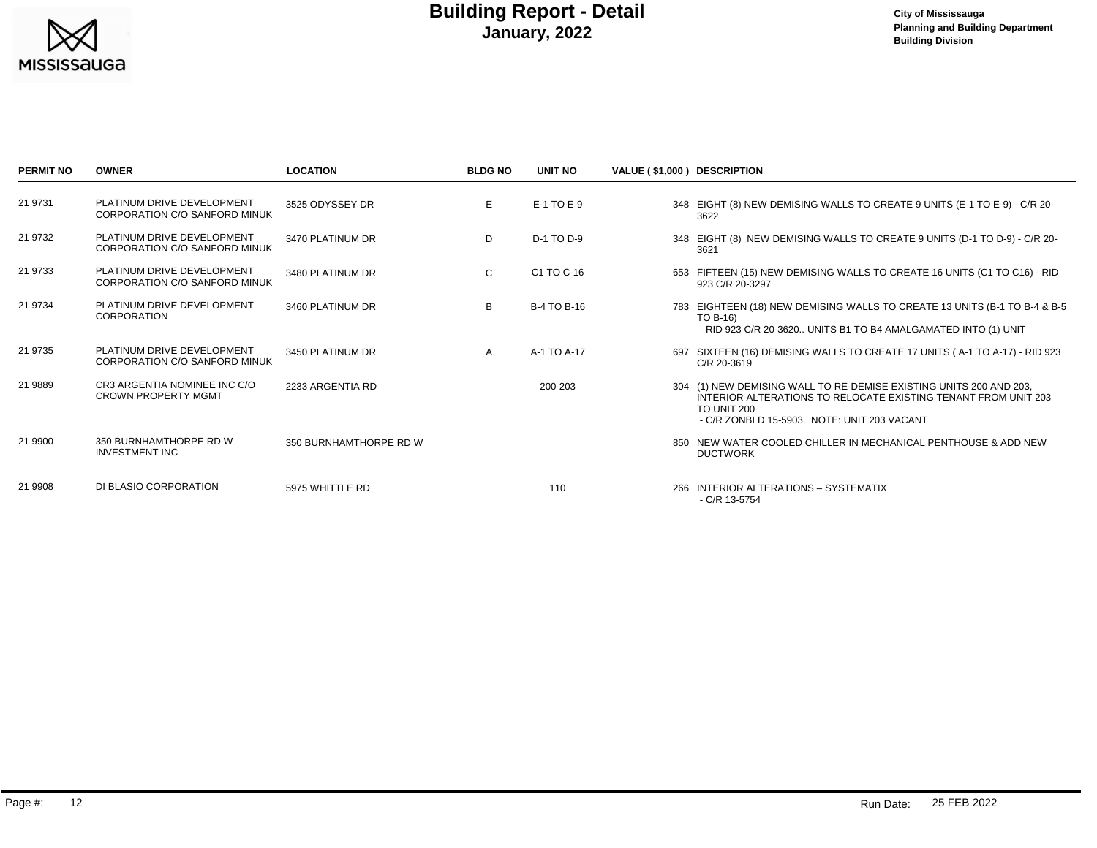

| <b>PERMIT NO</b> | <b>OWNER</b>                                                       | <b>LOCATION</b>        | <b>BLDG NO</b> | <b>UNIT NO</b>     | VALUE (\$1,000) DESCRIPTION |                                                                                                                                                                                                           |
|------------------|--------------------------------------------------------------------|------------------------|----------------|--------------------|-----------------------------|-----------------------------------------------------------------------------------------------------------------------------------------------------------------------------------------------------------|
| 21 9731          | PLATINUM DRIVE DEVELOPMENT<br>CORPORATION C/O SANFORD MINUK        | 3525 ODYSSEY DR        | E.             | E-1 TO E-9         |                             | 348 EIGHT (8) NEW DEMISING WALLS TO CREATE 9 UNITS (E-1 TO E-9) - C/R 20-<br>3622                                                                                                                         |
| 21 9732          | PLATINUM DRIVE DEVELOPMENT<br><b>CORPORATION C/O SANFORD MINUK</b> | 3470 PLATINUM DR       | D              | D-1 TO D-9         |                             | 348 EIGHT (8) NEW DEMISING WALLS TO CREATE 9 UNITS (D-1 TO D-9) - C/R 20-<br>3621                                                                                                                         |
| 21 9733          | PLATINUM DRIVE DEVELOPMENT<br>CORPORATION C/O SANFORD MINUK        | 3480 PLATINUM DR       | C              | C1 TO C-16         |                             | 653 FIFTEEN (15) NEW DEMISING WALLS TO CREATE 16 UNITS (C1 TO C16) - RID<br>923 C/R 20-3297                                                                                                               |
| 21 9734          | PLATINUM DRIVE DEVELOPMENT<br><b>CORPORATION</b>                   | 3460 PLATINUM DR       | B              | <b>B-4 TO B-16</b> |                             | 783 EIGHTEEN (18) NEW DEMISING WALLS TO CREATE 13 UNITS (B-1 TO B-4 & B-5<br>TO B-16)<br>- RID 923 C/R 20-3620 UNITS B1 TO B4 AMALGAMATED INTO (1) UNIT                                                   |
| 21 9735          | PLATINUM DRIVE DEVELOPMENT<br><b>CORPORATION C/O SANFORD MINUK</b> | 3450 PLATINUM DR       | A              | A-1 TO A-17        |                             | 697 SIXTEEN (16) DEMISING WALLS TO CREATE 17 UNITS (A-1 TO A-17) - RID 923<br>C/R 20-3619                                                                                                                 |
| 21 9889          | CR3 ARGENTIA NOMINEE INC C/O<br><b>CROWN PROPERTY MGMT</b>         | 2233 ARGENTIA RD       |                | 200-203            |                             | 304 (1) NEW DEMISING WALL TO RE-DEMISE EXISTING UNITS 200 AND 203,<br>INTERIOR ALTERATIONS TO RELOCATE EXISTING TENANT FROM UNIT 203<br><b>TO UNIT 200</b><br>- C/R ZONBLD 15-5903. NOTE: UNIT 203 VACANT |
| 21 9900          | 350 BURNHAMTHORPE RD W<br><b>INVESTMENT INC</b>                    | 350 BURNHAMTHORPE RD W |                |                    |                             | 850 NEW WATER COOLED CHILLER IN MECHANICAL PENTHOUSE & ADD NEW<br><b>DUCTWORK</b>                                                                                                                         |
| 21 9908          | DI BLASIO CORPORATION                                              | 5975 WHITTLE RD        |                | 110                |                             | 266 INTERIOR ALTERATIONS - SYSTEMATIX<br>$-C/R$ 13-5754                                                                                                                                                   |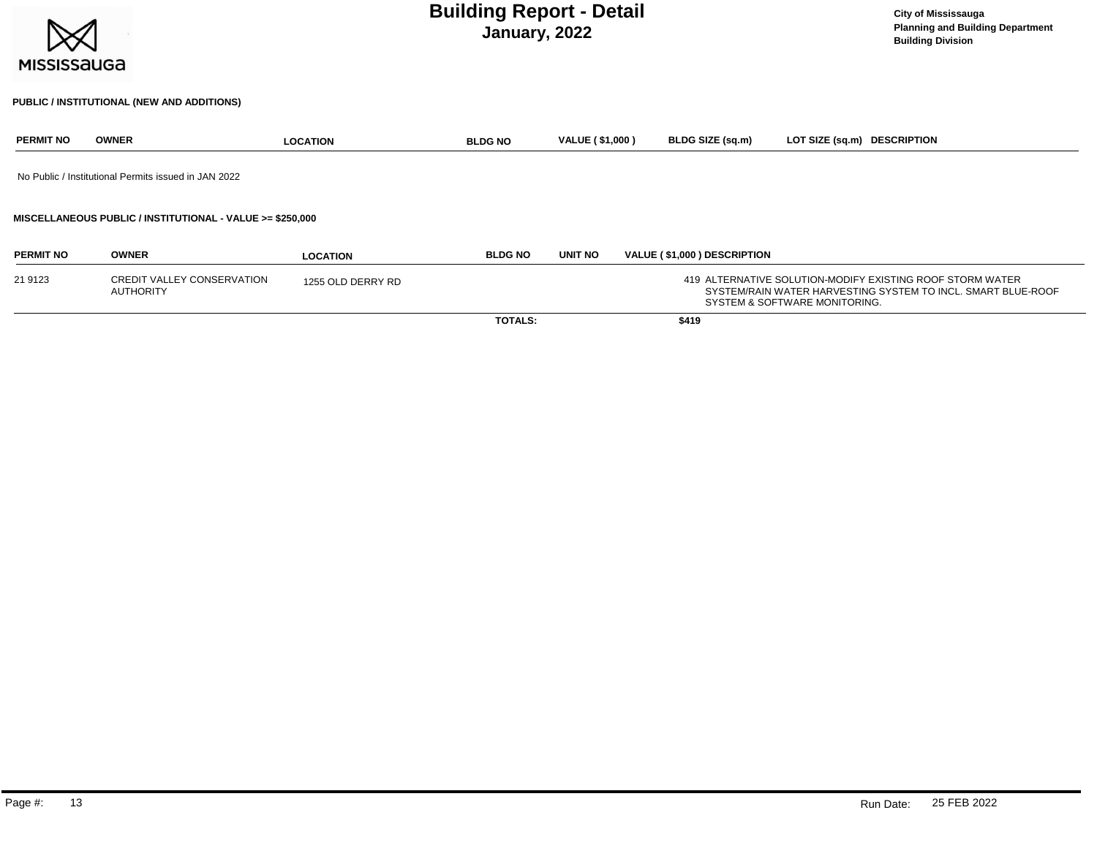| <b>MISSISSAUGA</b> | <b>Building Report - Detail</b><br>January, 2022          |                   |                |                        |  |                             |                               | <b>City of Mississauga</b><br><b>Planning and Building Department</b><br><b>Building Division</b>                         |  |
|--------------------|-----------------------------------------------------------|-------------------|----------------|------------------------|--|-----------------------------|-------------------------------|---------------------------------------------------------------------------------------------------------------------------|--|
|                    | PUBLIC / INSTITUTIONAL (NEW AND ADDITIONS)                |                   |                |                        |  |                             |                               |                                                                                                                           |  |
| <b>PERMIT NO</b>   | <b>OWNER</b>                                              | <b>LOCATION</b>   | <b>BLDG NO</b> | <b>VALUE (\$1,000)</b> |  | <b>BLDG SIZE (sq.m)</b>     | LOT SIZE (sq.m) DESCRIPTION   |                                                                                                                           |  |
|                    | No Public / Institutional Permits issued in JAN 2022      |                   |                |                        |  |                             |                               |                                                                                                                           |  |
|                    | MISCELLANEOUS PUBLIC / INSTITUTIONAL - VALUE >= \$250,000 |                   |                |                        |  |                             |                               |                                                                                                                           |  |
| <b>PERMIT NO</b>   | <b>OWNER</b>                                              | <b>LOCATION</b>   | <b>BLDG NO</b> | <b>UNIT NO</b>         |  | VALUE (\$1,000) DESCRIPTION |                               |                                                                                                                           |  |
| 21 9123            | CREDIT VALLEY CONSERVATION<br><b>AUTHORITY</b>            | 1255 OLD DERRY RD |                |                        |  |                             | SYSTEM & SOFTWARE MONITORING. | 419 ALTERNATIVE SOLUTION-MODIFY EXISTING ROOF STORM WATER<br>SYSTEM/RAIN WATER HARVESTING SYSTEM TO INCL. SMART BLUE-ROOF |  |

**TOTALS: \$419**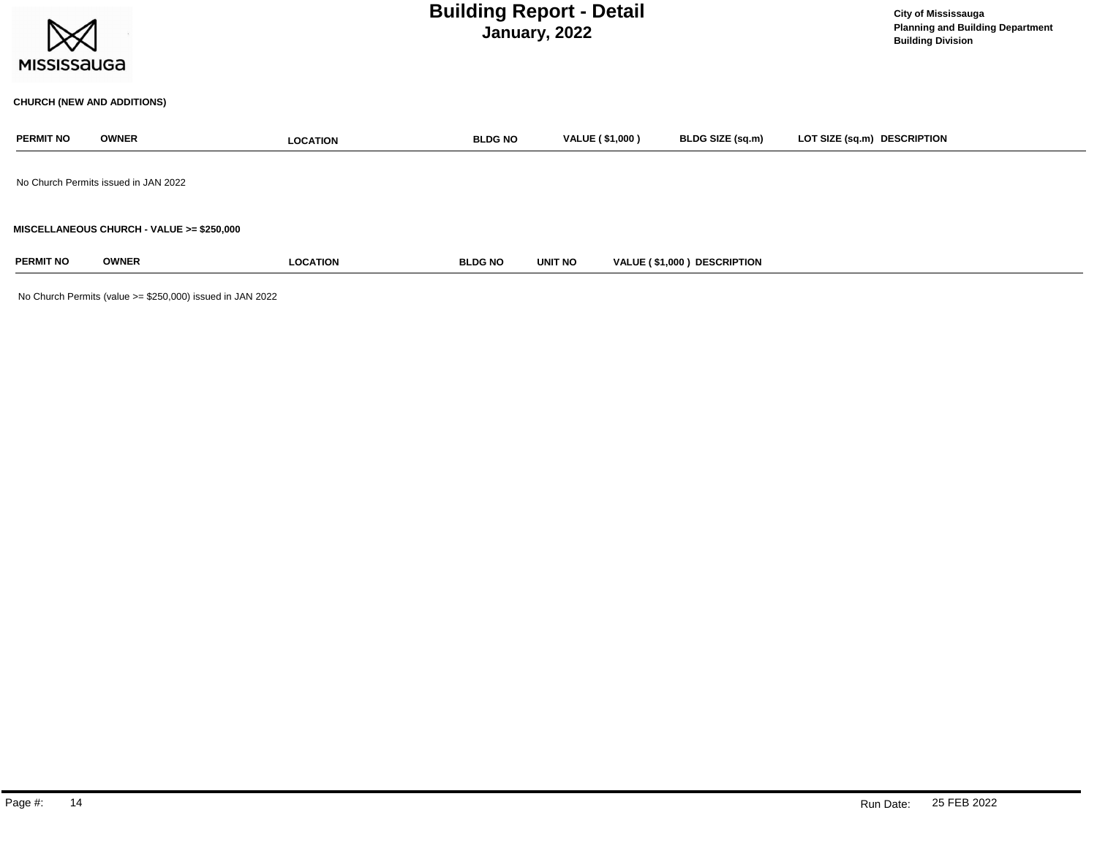| <b>MISSISSAUGA</b> |                                           |                 | <b>Building Report - Detail</b><br>January, 2022 |                        | <b>City of Mississauga</b><br><b>Planning and Building Department</b><br><b>Building Division</b> |                             |  |
|--------------------|-------------------------------------------|-----------------|--------------------------------------------------|------------------------|---------------------------------------------------------------------------------------------------|-----------------------------|--|
|                    | <b>CHURCH (NEW AND ADDITIONS)</b>         |                 |                                                  |                        |                                                                                                   |                             |  |
| <b>PERMIT NO</b>   | <b>OWNER</b>                              | <b>LOCATION</b> | <b>BLDG NO</b>                                   | <b>VALUE (\$1,000)</b> | BLDG SIZE (sq.m)                                                                                  | LOT SIZE (sq.m) DESCRIPTION |  |
|                    | No Church Permits issued in JAN 2022      |                 |                                                  |                        |                                                                                                   |                             |  |
|                    | MISCELLANEOUS CHURCH - VALUE >= \$250,000 |                 |                                                  |                        |                                                                                                   |                             |  |
| <b>PERMIT NO</b>   | <b>OWNER</b>                              | <b>LOCATION</b> | <b>BLDG NO</b>                                   | UNIT NO                | VALUE (\$1,000) DESCRIPTION                                                                       |                             |  |

No Church Permits (value >= \$250,000) issued in JAN 2022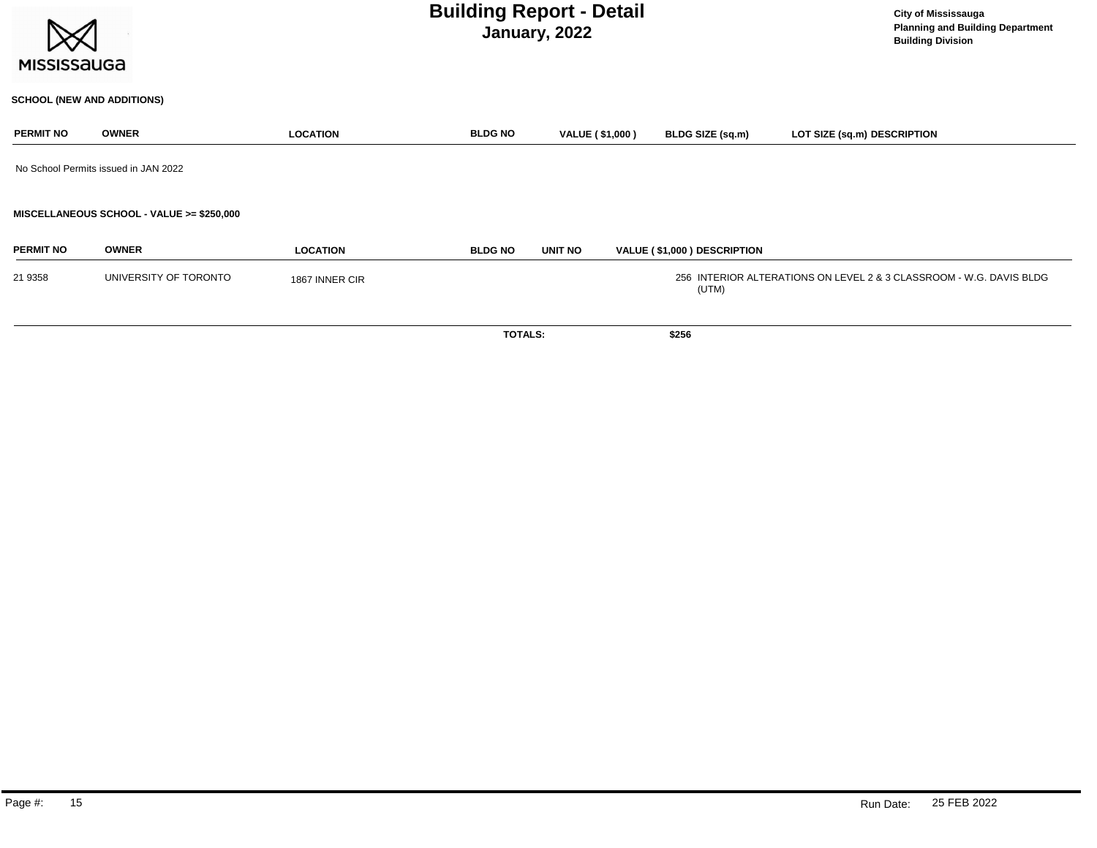| <b>MISSISSAUGA</b> |                                           | <b>City of Mississauga</b><br><b>Planning and Building Department</b><br><b>Building Division</b> |                |                        |                             |                                                                     |
|--------------------|-------------------------------------------|---------------------------------------------------------------------------------------------------|----------------|------------------------|-----------------------------|---------------------------------------------------------------------|
|                    | <b>SCHOOL (NEW AND ADDITIONS)</b>         |                                                                                                   |                |                        |                             |                                                                     |
| <b>PERMIT NO</b>   | <b>OWNER</b>                              | <b>LOCATION</b>                                                                                   | <b>BLDG NO</b> | <b>VALUE (\$1,000)</b> | BLDG SIZE (sq.m)            | LOT SIZE (sq.m) DESCRIPTION                                         |
|                    | No School Permits issued in JAN 2022      |                                                                                                   |                |                        |                             |                                                                     |
|                    | MISCELLANEOUS SCHOOL - VALUE >= \$250,000 |                                                                                                   |                |                        |                             |                                                                     |
| <b>PERMIT NO</b>   | <b>OWNER</b>                              | <b>LOCATION</b>                                                                                   | <b>BLDG NO</b> | UNIT NO                | VALUE (\$1,000) DESCRIPTION |                                                                     |
| 21 9358            | UNIVERSITY OF TORONTO                     | 1867 INNER CIR                                                                                    |                |                        | (UTM)                       | 256 INTERIOR ALTERATIONS ON LEVEL 2 & 3 CLASSROOM - W.G. DAVIS BLDG |
|                    |                                           |                                                                                                   | <b>TOTALS:</b> |                        | \$256                       |                                                                     |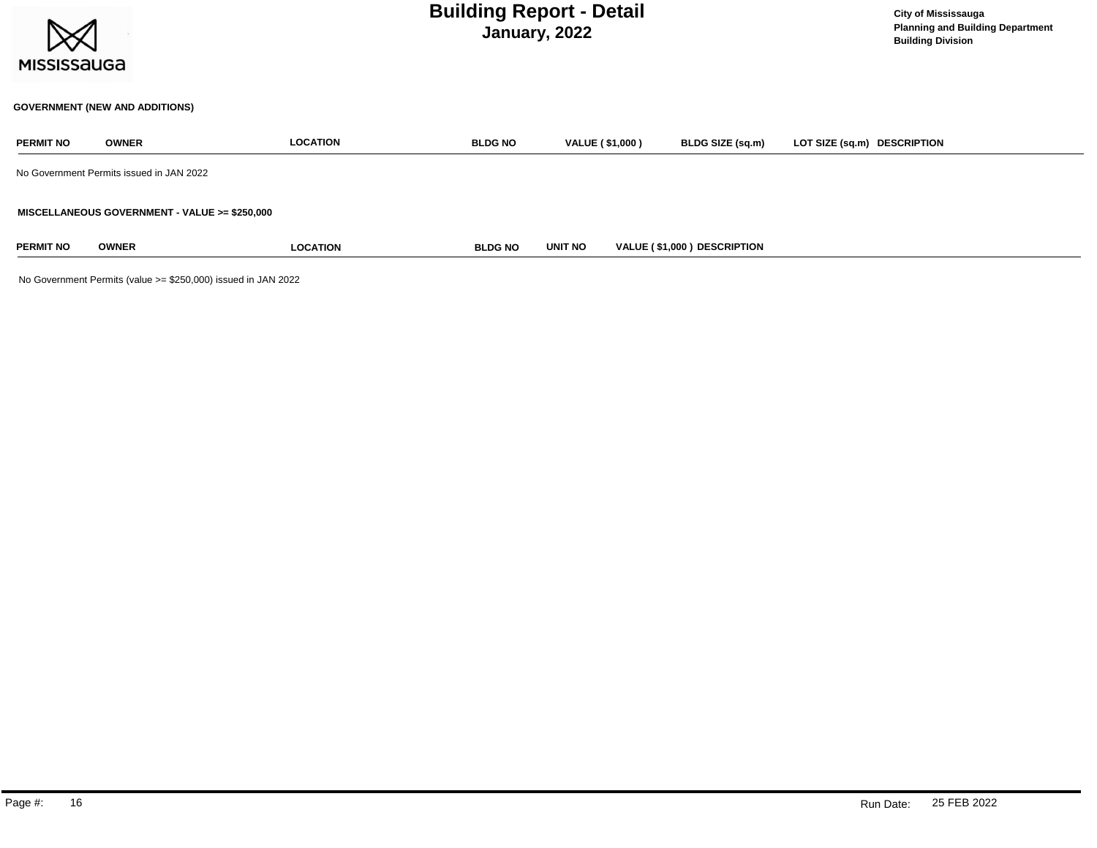

### **GOVERNMENT (NEW AND ADDITIONS)**

| <b>PERMIT NO</b> | <b>OWNER</b>                                  | <b>LOCATION</b> | <b>BLDG NO</b> | VALUE (\$1,000) | BLDG SIZE (sq.m)            | LOT SIZE (sq.m) DESCRIPTION |
|------------------|-----------------------------------------------|-----------------|----------------|-----------------|-----------------------------|-----------------------------|
|                  | No Government Permits issued in JAN 2022      |                 |                |                 |                             |                             |
|                  | MISCELLANEOUS GOVERNMENT - VALUE >= \$250,000 |                 |                |                 |                             |                             |
| <b>PERMIT NO</b> | <b>OWNER</b>                                  | <b>LOCATION</b> | <b>BLDG NO</b> | <b>UNIT NO</b>  | VALUE (\$1,000) DESCRIPTION |                             |

No Government Permits (value >= \$250,000) issued in JAN 2022